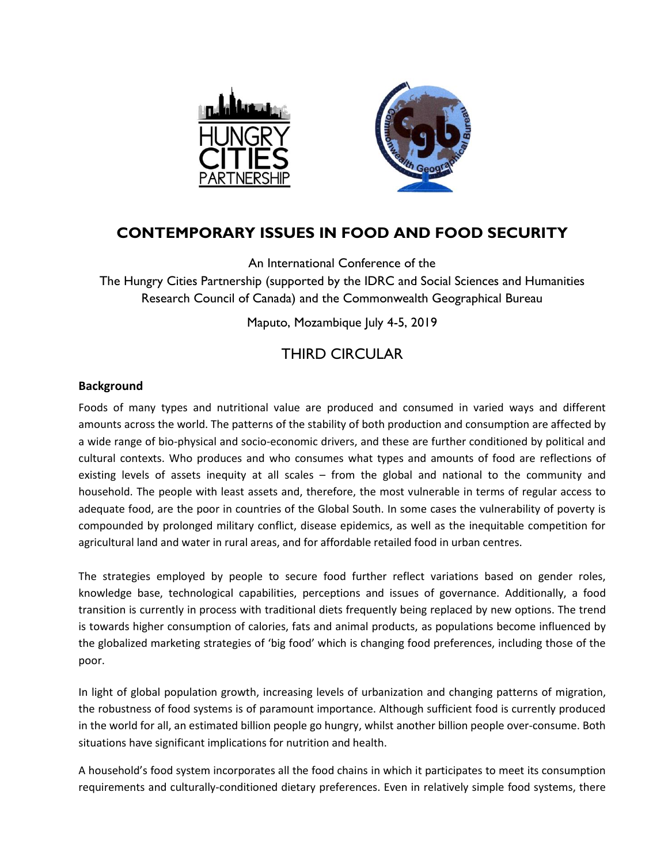

# **CONTEMPORARY ISSUES IN FOOD AND FOOD SECURITY**

An International Conference of the

The Hungry Cities Partnership (supported by the IDRC and Social Sciences and Humanities Research Council of Canada) and the Commonwealth Geographical Bureau

Maputo, Mozambique July 4-5, 2019

# THIRD CIRCULAR

# **Background**

Foods of many types and nutritional value are produced and consumed in varied ways and different amounts across the world. The patterns of the stability of both production and consumption are affected by a wide range of bio-physical and socio-economic drivers, and these are further conditioned by political and cultural contexts. Who produces and who consumes what types and amounts of food are reflections of existing levels of assets inequity at all scales – from the global and national to the community and household. The people with least assets and, therefore, the most vulnerable in terms of regular access to adequate food, are the poor in countries of the Global South. In some cases the vulnerability of poverty is compounded by prolonged military conflict, disease epidemics, as well as the inequitable competition for agricultural land and water in rural areas, and for affordable retailed food in urban centres.

The strategies employed by people to secure food further reflect variations based on gender roles, knowledge base, technological capabilities, perceptions and issues of governance. Additionally, a food transition is currently in process with traditional diets frequently being replaced by new options. The trend is towards higher consumption of calories, fats and animal products, as populations become influenced by the globalized marketing strategies of 'big food' which is changing food preferences, including those of the poor.

In light of global population growth, increasing levels of urbanization and changing patterns of migration, the robustness of food systems is of paramount importance. Although sufficient food is currently produced in the world for all, an estimated billion people go hungry, whilst another billion people over-consume. Both situations have significant implications for nutrition and health.

A household's food system incorporates all the food chains in which it participates to meet its consumption requirements and culturally-conditioned dietary preferences. Even in relatively simple food systems, there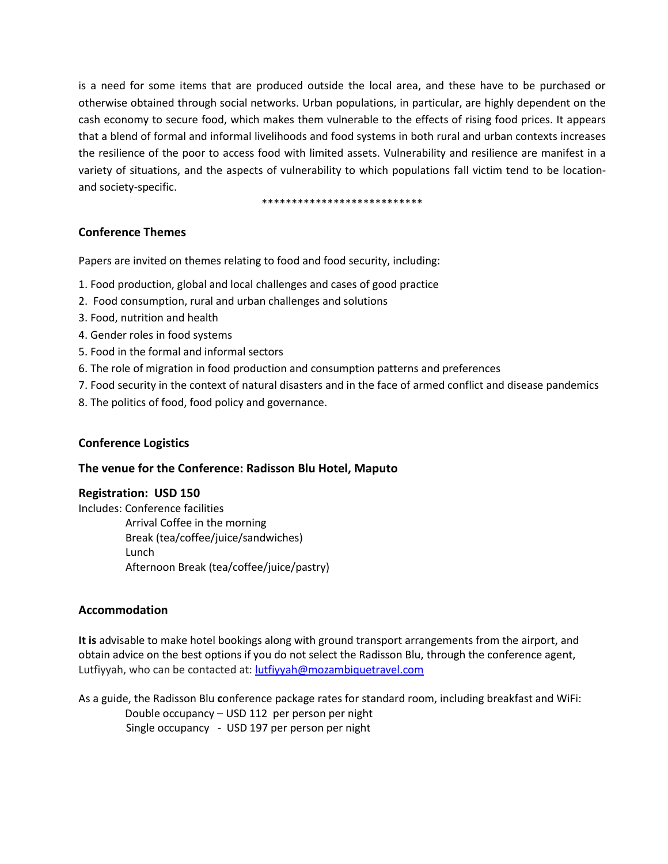is a need for some items that are produced outside the local area, and these have to be purchased or otherwise obtained through social networks. Urban populations, in particular, are highly dependent on the cash economy to secure food, which makes them vulnerable to the effects of rising food prices. It appears that a blend of formal and informal livelihoods and food systems in both rural and urban contexts increases the resilience of the poor to access food with limited assets. Vulnerability and resilience are manifest in a variety of situations, and the aspects of vulnerability to which populations fall victim tend to be locationand society-specific.

\*\*\*\*\*\*\*\*\*\*\*\*\*\*\*\*\*\*\*\*\*\*\*\*\*\*\*

## **Conference Themes**

Papers are invited on themes relating to food and food security, including:

- 1. Food production, global and local challenges and cases of good practice
- 2. Food consumption, rural and urban challenges and solutions
- 3. Food, nutrition and health
- 4. Gender roles in food systems
- 5. Food in the formal and informal sectors
- 6. The role of migration in food production and consumption patterns and preferences
- 7. Food security in the context of natural disasters and in the face of armed conflict and disease pandemics
- 8. The politics of food, food policy and governance.

## **Conference Logistics**

#### **The venue for the Conference: Radisson Blu Hotel, Maputo**

#### **Registration: USD 150**

Includes: Conference facilities Arrival Coffee in the morning Break (tea/coffee/juice/sandwiches) Lunch Afternoon Break (tea/coffee/juice/pastry)

## **Accommodation**

**It is** advisable to make hotel bookings along with ground transport arrangements from the airport, and obtain advice on the best options if you do not select the Radisson Blu, through the conference agent, Lutfiyyah, who can be contacted at: [lutfiyyah@mozambiquetravel.com](mailto:lutfiyyah@mozambiquetravel.com)

As a guide, the Radisson Blu **c**onference package rates for standard room, including breakfast and WiFi: Double occupancy – USD 112 per person per night Single occupancy - USD 197 per person per night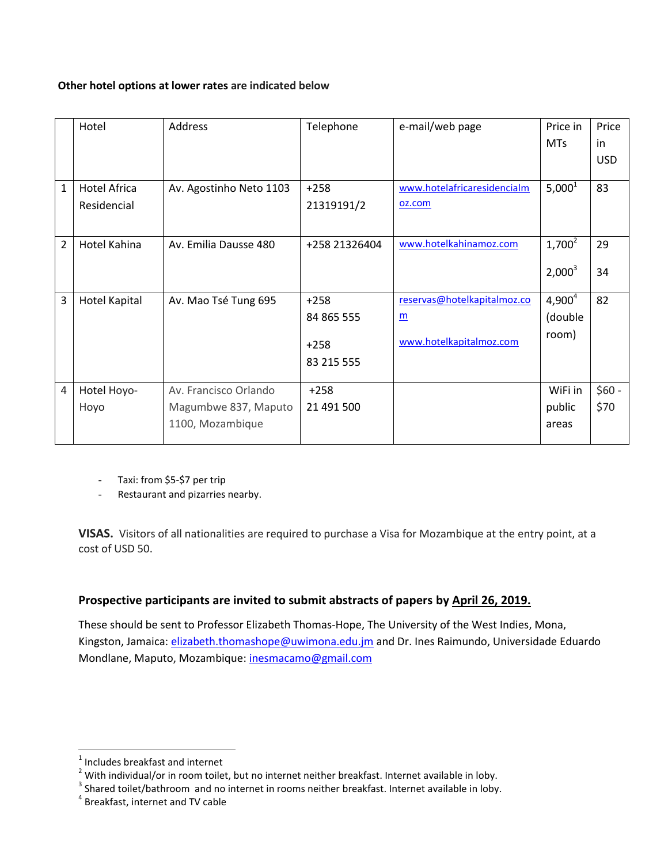#### **Other hotel options at lower rates are indicated below**

|                | Hotel                | Address                 | Telephone     | e-mail/web page             | Price in   | Price      |
|----------------|----------------------|-------------------------|---------------|-----------------------------|------------|------------|
|                |                      |                         |               |                             | <b>MTs</b> | in         |
|                |                      |                         |               |                             |            | <b>USD</b> |
|                |                      |                         |               |                             |            |            |
| $\mathbf{1}$   | <b>Hotel Africa</b>  | Av. Agostinho Neto 1103 | $+258$        | www.hotelafricaresidencialm | $5,000^1$  | 83         |
|                | Residencial          |                         | 21319191/2    | oz.com                      |            |            |
|                |                      |                         |               |                             |            |            |
| $\overline{2}$ | Hotel Kahina         | Av. Emilia Dausse 480   | +258 21326404 | www.hotelkahinamoz.com      | $1,700^2$  | 29         |
|                |                      |                         |               |                             |            |            |
|                |                      |                         |               |                             | $2,000^3$  | 34         |
|                |                      |                         |               |                             |            |            |
| 3              | <b>Hotel Kapital</b> | Av. Mao Tsé Tung 695    | $+258$        | reservas@hotelkapitalmoz.co | $4,900^4$  | 82         |
|                |                      |                         | 84 865 555    | $\underline{\mathbf{m}}$    | (double    |            |
|                |                      |                         |               |                             | room)      |            |
|                |                      |                         | $+258$        | www.hotelkapitalmoz.com     |            |            |
|                |                      |                         | 83 215 555    |                             |            |            |
|                |                      |                         |               |                             |            |            |
| $\overline{4}$ | Hotel Hoyo-          | Av. Francisco Orlando   | $+258$        |                             | WiFi in    | $$60 -$    |
|                | Hoyo                 | Magumbwe 837, Maputo    | 21 491 500    |                             | public     | \$70       |
|                |                      | 1100, Mozambique        |               |                             | areas      |            |
|                |                      |                         |               |                             |            |            |

- Taxi: from \$5-\$7 per trip

Restaurant and pizarries nearby.

**VISAS.** Visitors of all nationalities are required to purchase a Visa for Mozambique at the entry point, at a cost of USD 50.

# **Prospective participants are invited to submit abstracts of papers by April 26, 2019.**

These should be sent to Professor Elizabeth Thomas-Hope, The University of the West Indies, Mona, Kingston, Jamaica[: elizabeth.thomashope@uwimona.edu.jm](mailto:elizabeth.thomashope@uwimona.edu.jm) and Dr. Ines Raimundo, Universidade Eduardo Mondlane, Maputo, Mozambique: [inesmacamo@gmail.com](mailto:inesmacamo@gmail.com)

 $\overline{a}$ 

 $<sup>1</sup>$  Includes breakfast and internet</sup>

 $2$  With individual/or in room toilet, but no internet neither breakfast. Internet available in loby.

 $3$  Shared toilet/bathroom and no internet in rooms neither breakfast. Internet available in loby.

<sup>4</sup> Breakfast, internet and TV cable